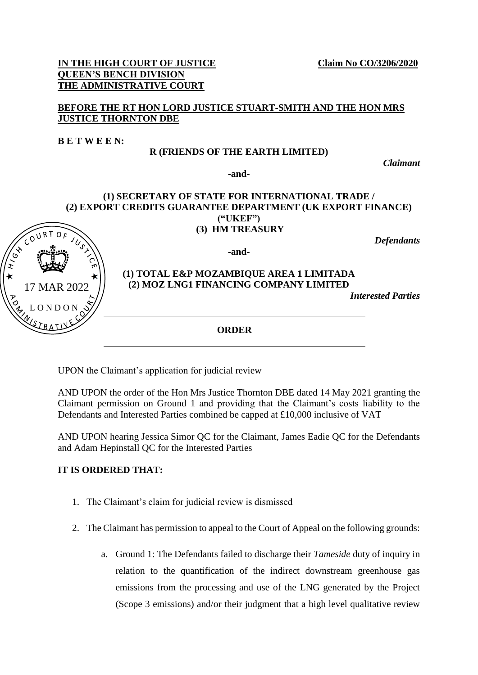#### **IN THE HIGH COURT OF JUSTICE** Claim No CO/3206/2020 **QUEEN'S BENCH DIVISION THE ADMINISTRATIVE COURT**

## **BEFORE THE RT HON LORD JUSTICE STUART-SMITH AND THE HON MRS JUSTICE THORNTON DBE**

**B E T W E E N:** 

L O N D O N

17 MAR 2022

 $\sqrt{\frac{2}{3}}$ 

## **R (FRIENDS OF THE EARTH LIMITED)**

*Claimant*

**-and-**

#### **(1) SECRETARY OF STATE FOR INTERNATIONAL TRADE / (2) EXPORT CREDITS GUARANTEE DEPARTMENT (UK EXPORT FINANCE) ("UKEF") (3) HM TREASURY**

*Defendants*

**-and-**

# **(1) TOTAL E&P MOZAMBIQUE AREA 1 LIMITADA (2) MOZ LNG1 FINANCING COMPANY LIMITED**

*Interested Parties* 

**ORDER**

UPON the Claimant's application for judicial review

AND UPON the order of the Hon Mrs Justice Thornton DBE dated 14 May 2021 granting the Claimant permission on Ground 1 and providing that the Claimant's costs liability to the Defendants and Interested Parties combined be capped at £10,000 inclusive of VAT

AND UPON hearing Jessica Simor QC for the Claimant, James Eadie QC for the Defendants and Adam Hepinstall QC for the Interested Parties

# **IT IS ORDERED THAT:**

- 1. The Claimant's claim for judicial review is dismissed
- 2. The Claimant has permission to appeal to the Court of Appeal on the following grounds:
	- a. Ground 1: The Defendants failed to discharge their *Tameside* duty of inquiry in relation to the quantification of the indirect downstream greenhouse gas emissions from the processing and use of the LNG generated by the Project (Scope 3 emissions) and/or their judgment that a high level qualitative review